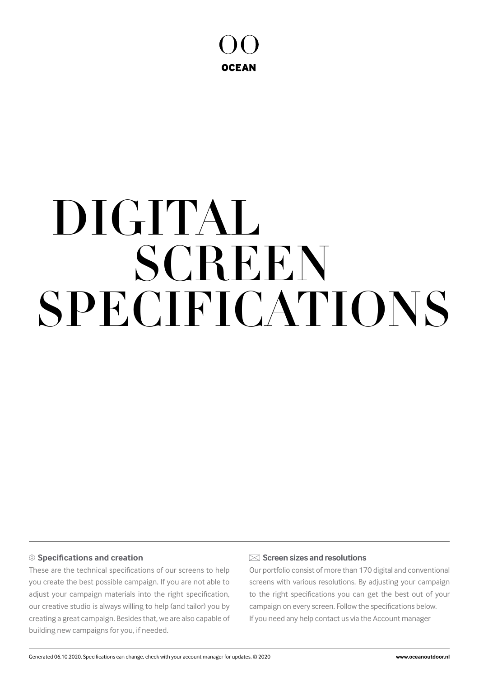

# SPECIFICATIONS DIGITAL **SCREEN**

### **Specifications and creation**

These are the technical specifications of our screens to help you create the best possible campaign. If you are not able to adjust your campaign materials into the right specification, our creative studio is always willing to help (and tailor) you by creating a great campaign. Besides that, we are also capable of building new campaigns for you, if needed.

#### **Screen sizes and resolutions**

Our portfolio consist of more than 170 digital and conventional screens with various resolutions. By adjusting your campaign to the right specifications you can get the best out of your campaign on every screen. Follow the specifications below. If you need any help contact us via the Account manager